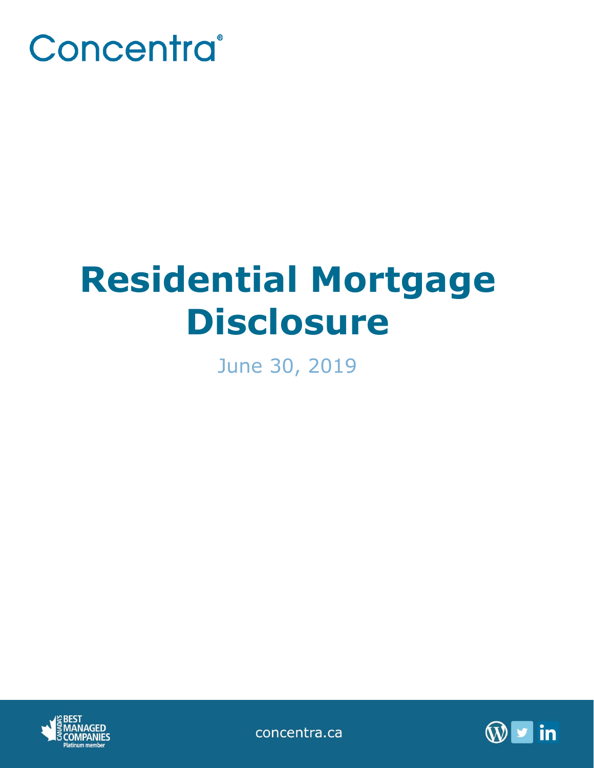

# **Residential Mortgage Disclosure**

June 30, 2019



concentra.ca

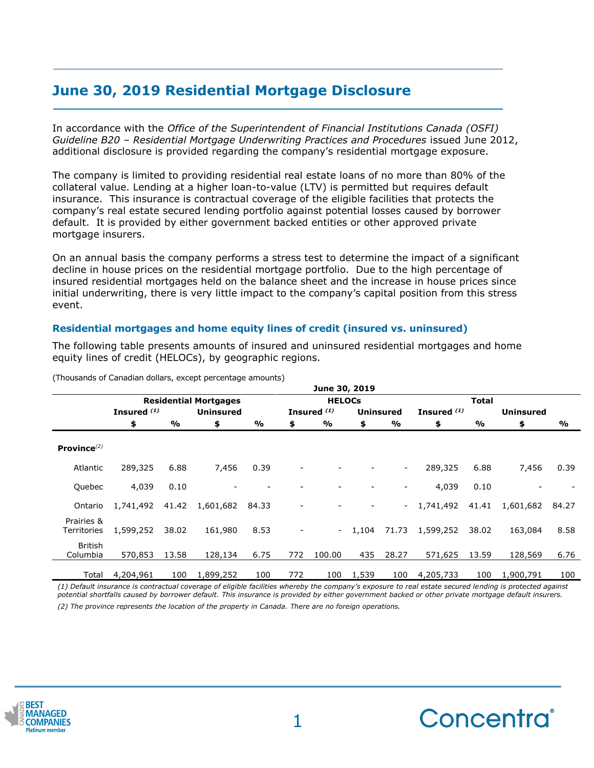# **June 30, 2019 Residential Mortgage Disclosure**

In accordance with the *Office of the Superintendent of Financial Institutions Canada (OSFI) Guideline B20 – Residential Mortgage Underwriting Practices and Procedures* issued June 2012, additional disclosure is provided regarding the company's residential mortgage exposure.

The company is limited to providing residential real estate loans of no more than 80% of the collateral value. Lending at a higher loan-to-value (LTV) is permitted but requires default insurance. This insurance is contractual coverage of the eligible facilities that protects the company's real estate secured lending portfolio against potential losses caused by borrower default. It is provided by either government backed entities or other approved private mortgage insurers.

On an annual basis the company performs a stress test to determine the impact of a significant decline in house prices on the residential mortgage portfolio. Due to the high percentage of insured residential mortgages held on the balance sheet and the increase in house prices since initial underwriting, there is very little impact to the company's capital position from this stress event.

## **Residential mortgages and home equity lines of credit (insured vs. uninsured)**

The following table presents amounts of insured and uninsured residential mortgages and home equity lines of credit (HELOCs), by geographic regions.

|                                  |                              |       |                  |       |               | June 30, 2019          |                  |                          |                        |       |                  |               |
|----------------------------------|------------------------------|-------|------------------|-------|---------------|------------------------|------------------|--------------------------|------------------------|-------|------------------|---------------|
|                                  | <b>Residential Mortgages</b> |       |                  |       | <b>HELOCs</b> |                        |                  |                          | <b>Total</b>           |       |                  |               |
|                                  | Insured <sup>(1)</sup>       |       | <b>Uninsured</b> |       |               | Insured <sup>(1)</sup> | <b>Uninsured</b> |                          | Insured <sup>(1)</sup> |       | <b>Uninsured</b> |               |
|                                  | \$                           | %     | \$               | %     | \$            | %                      | \$               | %                        | \$                     | %     | \$               | $\frac{0}{0}$ |
| Province $^{(2)}$                |                              |       |                  |       |               |                        |                  |                          |                        |       |                  |               |
| Atlantic                         | 289,325                      | 6.88  | 7,456            | 0.39  |               |                        |                  | $\overline{\phantom{a}}$ | 289,325                | 6.88  | 7,456            | 0.39          |
| Quebec                           | 4,039                        | 0.10  |                  |       |               |                        |                  |                          | 4,039                  | 0.10  |                  |               |
| Ontario                          | 1,741,492                    | 41.42 | 1,601,682        | 84.33 |               |                        |                  | $\overline{\phantom{0}}$ | 1,741,492              | 41.41 | 1,601,682        | 84.27         |
| Prairies &<br><b>Territories</b> | 1,599,252                    | 38.02 | 161,980          | 8.53  |               | $\sim 100$             | 1,104            | 71.73                    | 1,599,252              | 38.02 | 163,084          | 8.58          |
| <b>British</b><br>Columbia       | 570,853                      | 13.58 | 128,134          | 6.75  | 772           | 100.00                 | 435              | 28.27                    | 571,625                | 13.59 | 128,569          | 6.76          |
| Total                            | 4,204,961                    | 100   | 1,899,252        | 100   | 772           | 100                    | 1,539            | 100                      | 4,205,733              | 100   | 1,900,791        | 100           |

(Thousands of Canadian dollars, except percentage amounts)

*(1) Default insurance is contractual coverage of eligible facilities whereby the company's exposure to real estate secured lending is protected against potential shortfalls caused by borrower default. This insurance is provided by either government backed or other private mortgage default insurers. (2) The province represents the location of the property in Canada. There are no foreign operations.*



**\_\_\_\_\_\_\_\_\_\_\_\_\_\_\_\_\_\_\_\_\_\_\_\_\_\_\_\_\_\_\_\_\_\_\_\_\_\_\_\_\_\_\_\_**